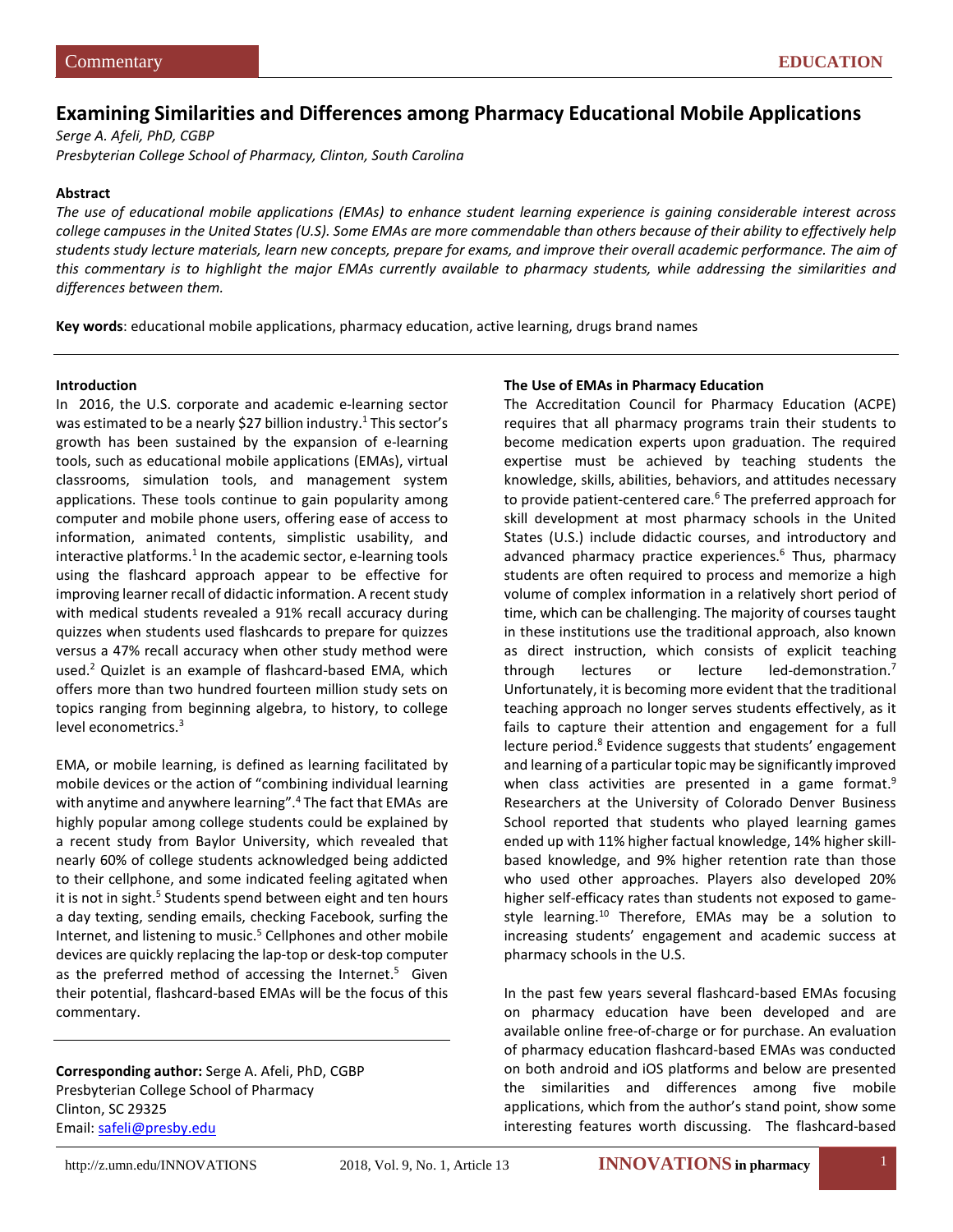# **Examining Similarities and Differences among Pharmacy Educational Mobile Applications**

*Serge A. Afeli, PhD, CGBP Presbyterian College School of Pharmacy, Clinton, South Carolina*

#### **Abstract**

*The use of educational mobile applications (EMAs) to enhance student learning experience is gaining considerable interest across college campuses in the United States (U.S). Some EMAs are more commendable than others because of their ability to effectively help students study lecture materials, learn new concepts, prepare for exams, and improve their overall academic performance. The aim of this commentary is to highlight the major EMAs currently available to pharmacy students, while addressing the similarities and differences between them.* 

**Key words**: educational mobile applications, pharmacy education, active learning, drugs brand names

#### **Introduction**

In 2016, the U.S. corporate and academic e-learning sector was estimated to be a nearly \$27 billion industry.<sup>1</sup> This sector's growth has been sustained by the expansion of e-learning tools, such as educational mobile applications (EMAs), virtual classrooms, simulation tools, and management system applications. These tools continue to gain popularity among computer and mobile phone users, offering ease of access to information, animated contents, simplistic usability, and interactive platforms.<sup>1</sup> In the academic sector, e-learning tools using the flashcard approach appear to be effective for improving learner recall of didactic information. A recent study with medical students revealed a 91% recall accuracy during quizzes when students used flashcards to prepare for quizzes versus a 47% recall accuracy when other study method were used[.2](#page-2-1) Quizlet is an example of flashcard-based EMA, which offers more than two hundred fourteen million study sets on topics ranging from beginning algebra, to history, to college level econometrics[.3](#page-2-2)

EMA, or mobile learning, is defined as learning facilitated by mobile devices or the action of "combining individual learning with anytime and anywhere learning".<sup>4</sup> The fact that EMAs are highly popular among college students could be explained by a recent study from Baylor University, which revealed that nearly 60% of college students acknowledged being addicted to their cellphone, and some indicated feeling agitated when it is not in sight.<sup>5</sup> Students spend between eight and ten hours a day texting, sending emails, checking Facebook, surfing the Internet, and listening to music.<sup>5</sup> Cellphones and other mobile devices are quickly replacing the lap-top or desk-top computer as the preferred method of accessing the Internet.<sup>5</sup> Given their potential, flashcard-based EMAs will be the focus of this commentary.

**Corresponding author:** Serge A. Afeli, PhD, CGBP Presbyterian College School of Pharmacy Clinton, SC 29325 Email: [safeli@presby.edu](mailto:safeli@presby.edu)

#### **The Use of EMAs in Pharmacy Education**

The Accreditation Council for Pharmacy Education (ACPE) requires that all pharmacy programs train their students to become medication experts upon graduation. The required expertise must be achieved by teaching students the knowledge, skills, abilities, behaviors, and attitudes necessary to provide patient-centered care.<sup>6</sup> The preferred approach for skill development at most pharmacy schools in the United States (U.S.) include didactic courses, and introductory and advanced pharmacy practice experiences.<sup>6</sup> Thus, pharmacy students are often required to process and memorize a high volume of complex information in a relatively short period of time, which can be challenging. The majority of courses taught in these institutions use the traditional approach, also known as direct instruction, which consists of explicit teaching through lectures or lecture led-demonstration.<sup>7</sup> Unfortunately, it is becoming more evident that the traditional teaching approach no longer serves students effectively, as it fails to capture their attention and engagement for a full lecture period.<sup>8</sup> Evidence suggests that students' engagement and learning of a particular topic may be significantly improved when class activities are presented in a game format.<sup>9</sup> Researchers at the University of Colorado Denver Business School reported that students who played learning games ended up with 11% higher factual knowledge, 14% higher skillbased knowledge, and 9% higher retention rate than those who used other approaches. Players also developed 20% higher self-efficacy rates than students not exposed to gamestyle learning.<sup>10</sup> Therefore, EMAs may be a solution to increasing students' engagement and academic success at pharmacy schools in the U.S.

In the past few years several flashcard-based EMAs focusing on pharmacy education have been developed and are available online free-of-charge or for purchase. An evaluation of pharmacy education flashcard-based EMAs was conducted on both android and iOS platforms and below are presented the similarities and differences among five mobile applications, which from the author's stand point, show some interesting features worth discussing. The flashcard-based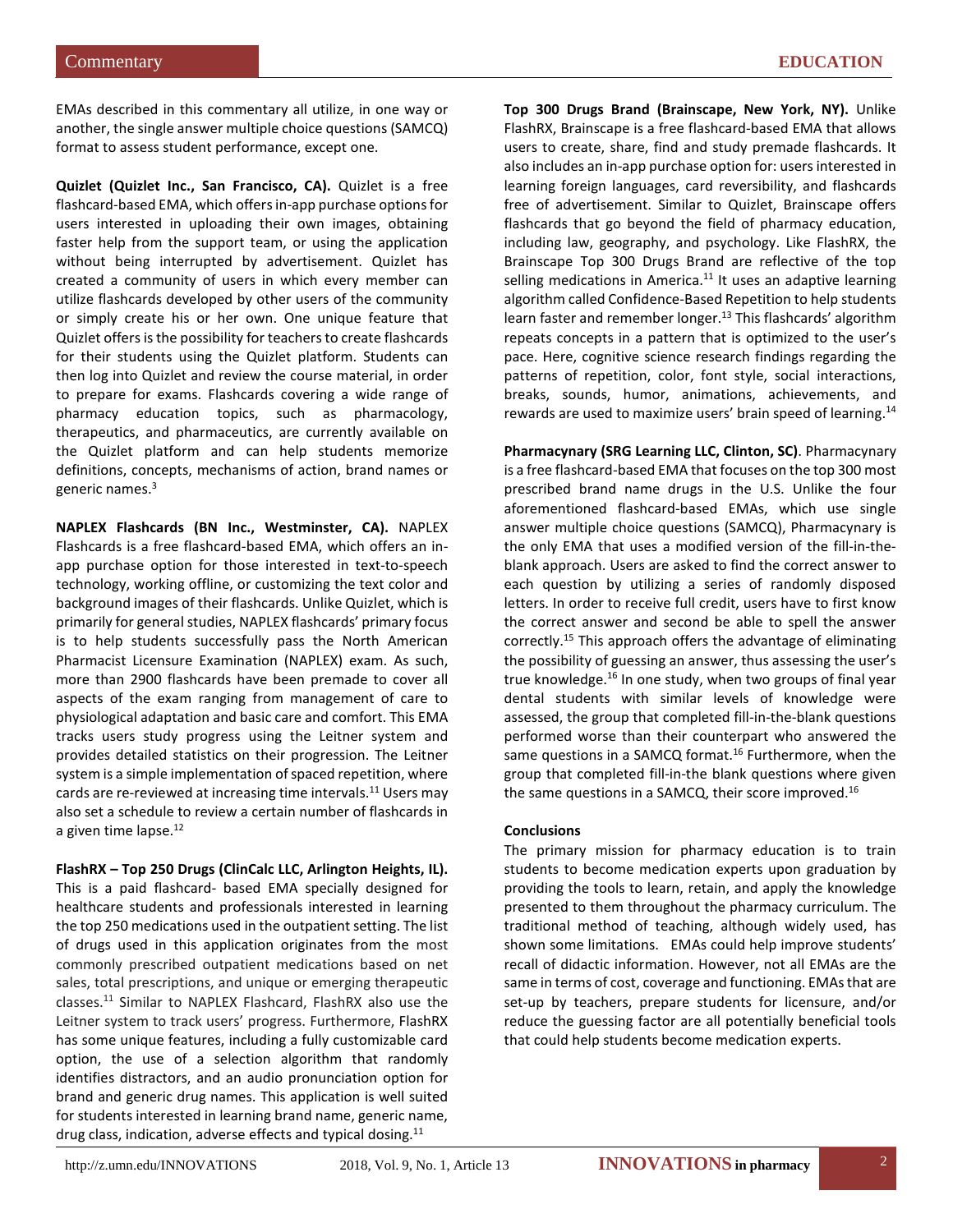EMAs described in this commentary all utilize, in one way or another, the single answer multiple choice questions (SAMCQ) format to assess student performance, except one.

**Quizlet (Quizlet Inc., San Francisco, CA).** Quizlet is a free flashcard-based EMA, which offers in-app purchase options for users interested in uploading their own images, obtaining faster help from the support team, or using the application without being interrupted by advertisement. Quizlet has created a community of users in which every member can utilize flashcards developed by other users of the community or simply create his or her own. One unique feature that Quizlet offers is the possibility for teachers to create flashcards for their students using the Quizlet platform. Students can then log into Quizlet and review the course material, in order to prepare for exams. Flashcards covering a wide range of pharmacy education topics, such as pharmacology, therapeutics, and pharmaceutics, are currently available on the Quizlet platform and can help students memorize definitions, concepts, mechanisms of action, brand names or generic name[s.3](#page-2-2)

**NAPLEX Flashcards (BN Inc., Westminster, CA).** NAPLEX Flashcards is a free flashcard-based EMA, which offers an inapp purchase option for those interested in text-to-speech technology, working offline, or customizing the text color and background images of their flashcards. Unlike Quizlet, which is primarily for general studies, NAPLEX flashcards' primary focus is to help students successfully pass the North American Pharmacist Licensure Examination (NAPLEX) exam. As such, more than 2900 flashcards have been premade to cover all aspects of the exam ranging from management of care to physiological adaptation and basic care and comfort. This EMA tracks users study progress using the Leitner system and provides detailed statistics on their progression. The Leitner system is a simple implementation of spaced repetition, where cards are re-reviewed at increasing time intervals.<sup>11</sup> Users may also set a schedule to review a certain number of flashcards in a given time lapse.<sup>12</sup>

**FlashRX – Top 250 Drugs (ClinCalc LLC, Arlington Heights, IL).** This is a paid flashcard- based EMA specially designed for healthcare students and professionals interested in learning the top 250 medications used in the outpatient setting. The list of drugs used in this application originates from the most commonly prescribed outpatient medications based on net sales, total prescriptions, and unique or emerging therapeutic classe[s.11](#page-2-10) Similar to NAPLEX Flashcard, FlashRX also use the Leitner system to track users' progress. Furthermore, FlashRX has some unique features, including a fully customizable card option, the use of a selection algorithm that randomly identifies distractors, and an audio pronunciation option for brand and generic drug names. This application is well suited for students interested in learning brand name, generic name, drug class, indication, adverse effects and typical dosing.<sup>11</sup>

**Top 300 Drugs Brand (Brainscape, New York, NY).** Unlike FlashRX, Brainscape is a free flashcard-based EMA that allows users to create, share, find and study premade flashcards. It also includes an in-app purchase option for: users interested in learning foreign languages, card reversibility, and flashcards free of advertisement. Similar to Quizlet, Brainscape offers flashcards that go beyond the field of pharmacy education, including law, geography, and psychology. Like FlashRX, the Brainscape Top 300 Drugs Brand are reflective of the top selling medications in America. $11$  It uses an adaptive learning algorithm called Confidence-Based Repetition to help students learn faster and remember longer.<sup>13</sup> This flashcards' algorithm repeats concepts in a pattern that is optimized to the user's pace. Here, cognitive science research findings regarding the patterns of repetition, color, font style, social interactions, breaks, sounds, humor, animations, achievements, and rewards are used to maximize users' brain speed of learning.<sup>14</sup>

**Pharmacynary (SRG Learning LLC, Clinton, SC)**. Pharmacynary is a free flashcard-based EMA that focuses on the top 300 most prescribed brand name drugs in the U.S. Unlike the four aforementioned flashcard-based EMAs, which use single answer multiple choice questions (SAMCQ), Pharmacynary is the only EMA that uses a modified version of the fill-in-theblank approach. Users are asked to find the correct answer to each question by utilizing a series of randomly disposed letters. In order to receive full credit, users have to first know the correct answer and second be able to spell the answer correctly[.15](#page-2-14) This approach offers the advantage of eliminating the possibility of guessing an answer, thus assessing the user's true knowledge. $16$  In one study, when two groups of final year dental students with similar levels of knowledge were assessed, the group that completed fill-in-the-blank questions performed worse than their counterpart who answered the same questions in a SAMCQ format.<sup>16</sup> Furthermore, when the group that completed fill-in-the blank questions where given the same questions in a SAMCQ, their score improved.<sup>16</sup>

### **Conclusions**

The primary mission for pharmacy education is to train students to become medication experts upon graduation by providing the tools to learn, retain, and apply the knowledge presented to them throughout the pharmacy curriculum. The traditional method of teaching, although widely used, has shown some limitations. EMAs could help improve students' recall of didactic information. However, not all EMAs are the same in terms of cost, coverage and functioning. EMAs that are set-up by teachers, prepare students for licensure, and/or reduce the guessing factor are all potentially beneficial tools that could help students become medication experts.